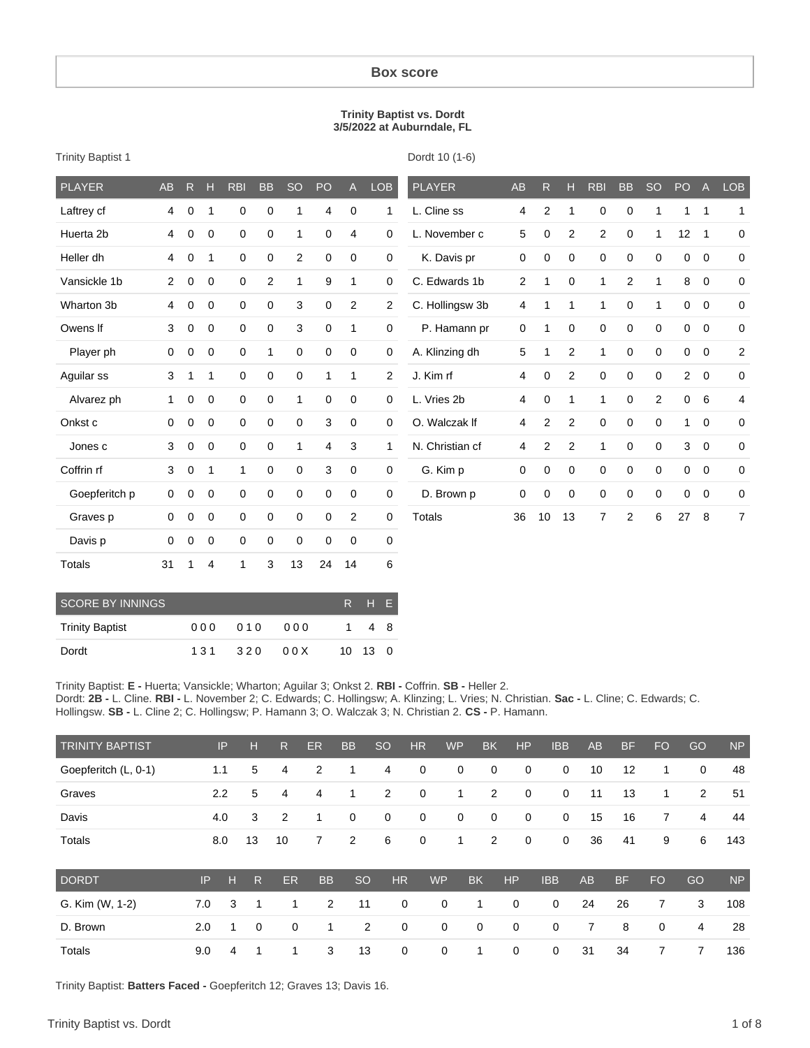#### **Box score**

#### **Trinity Baptist vs. Dordt 3/5/2022 at Auburndale, FL**

| <b>PLAYER</b>           | <b>AB</b>      | R           | Н           | <b>RBI</b>  | <b>BB</b>   | <b>SO</b>      | PO           | $\mathsf{A}% _{\mathsf{A}}^{\prime}=\mathsf{A}_{\mathsf{A}}^{\prime}$ | <b>LOB</b> |                | <b>PLAYER</b>   | <b>AB</b>   | R           | H              | <b>RBI</b>     | <b>BB</b>      | <b>SO</b>   | PO                  | $\overline{A}$ | LOB            |
|-------------------------|----------------|-------------|-------------|-------------|-------------|----------------|--------------|-----------------------------------------------------------------------|------------|----------------|-----------------|-------------|-------------|----------------|----------------|----------------|-------------|---------------------|----------------|----------------|
| Laftrey cf              | 4              | 0           | 1           | 0           | 0           | $\mathbf{1}$   | 4            | 0                                                                     |            | 1              | L. Cline ss     | 4           | 2           | $\mathbf{1}$   | 0              | 0              | 1           | $\mathbf{1}$        | $\mathbf{1}$   | 1              |
| Huerta 2b               | 4              | 0           | $\mathbf 0$ | 0           | 0           | $\mathbf{1}$   | 0            | 4                                                                     |            | $\mathbf 0$    | L. November c   | 5           | 0           | $\overline{2}$ | $\overline{c}$ | $\pmb{0}$      | 1           | 12                  | $\mathbf{1}$   | $\mathbf 0$    |
| Heller dh               | 4              | 0           | 1           | $\mathbf 0$ | 0           | $\overline{2}$ | 0            | $\mathbf 0$                                                           |            | $\mathbf 0$    | K. Davis pr     | $\mathbf 0$ | 0           | $\mathbf 0$    | 0              | $\pmb{0}$      | $\mathbf 0$ | 0                   | $\mathbf 0$    | $\mathbf 0$    |
| Vansickle 1b            | $\overline{2}$ | 0           | 0           | $\pmb{0}$   | 2           | 1              | 9            | 1                                                                     |            | $\mathbf 0$    | C. Edwards 1b   | 2           | 1           | 0              | 1              | $\overline{2}$ | 1           | 8                   | $\mathbf 0$    | 0              |
| Wharton 3b              | 4              | 0           | 0           | $\pmb{0}$   | 0           | 3              | 0            | $\overline{c}$                                                        |            | $\overline{c}$ | C. Hollingsw 3b | 4           | 1           | 1              | $\mathbf{1}$   | 0              | 1           | $\mathbf 0$         | $\mathbf 0$    | 0              |
| Owens If                | 3              | 0           | 0           | $\pmb{0}$   | 0           | 3              | 0            | 1                                                                     |            | $\mathbf 0$    | P. Hamann pr    | 0           | 1           | 0              | 0              | 0              | 0           | $\mathbf 0$         | $\mathbf 0$    | $\mathbf 0$    |
| Player ph               | $\mathbf 0$    | 0           | 0           | $\pmb{0}$   | 1           | 0              | 0            | $\pmb{0}$                                                             |            | $\mathsf 0$    | A. Klinzing dh  | 5           | 1           | $\overline{2}$ | $\mathbf{1}$   | 0              | $\mathbf 0$ | $\mathsf{O}\xspace$ | $\mathbf 0$    | $\overline{c}$ |
| Aguilar ss              | 3              | 1           | 1           | 0           | $\mathbf 0$ | 0              | $\mathbf{1}$ | 1                                                                     |            | $\overline{2}$ | J. Kim rf       | 4           | 0           | $\overline{2}$ | 0              | 0              | 0           | $\overline{2}$      | $\mathbf 0$    | $\mathbf 0$    |
| Alvarez ph              | 1              | 0           | $\mathbf 0$ | 0           | 0           | $\mathbf{1}$   | 0            | 0                                                                     |            | $\mathbf 0$    | L. Vries 2b     | 4           | 0           | 1              | 1              | 0              | 2           | $\mathbf 0$         | 6              | 4              |
| Onkst c                 | $\mathbf 0$    | 0           | 0           | 0           | 0           | 0              | 3            | $\mathbf 0$                                                           |            | $\mathbf 0$    | O. Walczak If   | 4           | 2           | $\overline{2}$ | 0              | 0              | 0           | 1                   | $\mathbf 0$    | $\mathbf 0$    |
| Jones c                 | 3              | 0           | 0           | 0           | 0           | 1              | 4            | 3                                                                     |            | 1              | N. Christian cf | 4           | 2           | $\overline{2}$ | 1              | 0              | 0           | 3                   | $\mathbf 0$    | $\mathbf 0$    |
| Coffrin rf              | 3              | $\mathbf 0$ | 1           | 1           | $\mathbf 0$ | 0              | 3            | $\mathbf 0$                                                           |            | $\mathbf 0$    | G. Kim p        | $\mathbf 0$ | $\mathbf 0$ | $\mathbf 0$    | 0              | 0              | 0           | $\mathbf 0$         | $\mathbf 0$    | $\mathbf 0$    |
| Goepferitch p           | 0              | $\mathbf 0$ | 0           | $\mathbf 0$ | $\mathbf 0$ | $\mathbf 0$    | 0            | 0                                                                     |            | $\mathbf 0$    | D. Brown p      | 0           | $\mathbf 0$ | 0              | 0              | 0              | $\mathbf 0$ | $\mathbf 0$         | $\mathbf 0$    | $\mathbf 0$    |
| Graves p                | 0              | 0           | 0           | 0           | 0           | 0              | 0            | $\overline{c}$                                                        |            | 0              | Totals          | 36          | 10          | 13             | 7              | 2              | 6           | 27                  | 8              | 7              |
| Davis p                 | $\mathbf 0$    | $\mathbf 0$ | 0           | $\pmb{0}$   | $\mathbf 0$ | $\pmb{0}$      | 0            | $\mathbf 0$                                                           |            | 0              |                 |             |             |                |                |                |             |                     |                |                |
| Totals                  | 31             | 1           | 4           | 1           | 3           | 13             | 24           | 14                                                                    |            | 6              |                 |             |             |                |                |                |             |                     |                |                |
| <b>SCORE BY INNINGS</b> |                |             |             |             |             |                |              | R                                                                     | H          | Ε              |                 |             |             |                |                |                |             |                     |                |                |
| <b>Trinity Baptist</b>  |                |             | 000         | 010         |             | 000            |              | 1                                                                     | 4          | 8              |                 |             |             |                |                |                |             |                     |                |                |

Trinity Baptist 1

Dordt 10 (1-6)

Trinity Baptist: **E -** Huerta; Vansickle; Wharton; Aguilar 3; Onkst 2. **RBI -** Coffrin. **SB -** Heller 2. Dordt: **2B -** L. Cline. **RBI -** L. November 2; C. Edwards; C. Hollingsw; A. Klinzing; L. Vries; N. Christian. **Sac -** L. Cline; C. Edwards; C. Hollingsw. **SB -** L. Cline 2; C. Hollingsw; P. Hamann 3; O. Walczak 3; N. Christian 2. **CS -** P. Hamann.

| <b>TRINITY BAPTIST</b> | IP. | T E N | $\overline{\mathsf{R}}$ : | ER.            | <b>BB</b>      | , SO           | HR             | WP             | <b>BK</b>      | HP                      | <b>IBB</b>     | AB   | BF   | FO.            | GO       | <b>NP</b> |
|------------------------|-----|-------|---------------------------|----------------|----------------|----------------|----------------|----------------|----------------|-------------------------|----------------|------|------|----------------|----------|-----------|
| Goepferitch (L, 0-1)   | 1.1 |       | 5 4                       | $\overline{2}$ | $\overline{1}$ | 4              | $\overline{0}$ | $\overline{0}$ | $\overline{0}$ | $\overline{0}$          | $\mathbf{0}$   | 10   | - 12 | $\overline{1}$ | $\Omega$ | 48        |
| Graves                 | 2.2 |       | 5 4                       | 4              | $\overline{1}$ | 2              | $\overline{0}$ | $\sim$ 1       | 2              | $\overline{\mathbf{0}}$ | $\mathbf{0}$   | - 11 | - 13 | 1              | 2        | -51       |
| Davis                  | 4.0 | -3    | $\overline{2}$            | $\blacksquare$ | $\mathbf{0}$   | $\overline{0}$ | $\overline{0}$ | $\overline{0}$ | $\overline{0}$ | $\overline{0}$          | $\mathbf{0}$   | 15   | - 16 | 7              | 4        | 44        |
| Totals                 | 8.0 | - 13  | 10                        | 7              | 2              | 6              | $\overline{0}$ | $\overline{1}$ | $\overline{2}$ | $\overline{0}$          | $\overline{0}$ | -36  | 41   | 9              | 6        | 143       |

| <b>DORDT</b>    |  |  |  | IP H R ER BB SO HR WP BK HP |  |                                   | IBB AB BF | - FO | GO. | NP  |
|-----------------|--|--|--|-----------------------------|--|-----------------------------------|-----------|------|-----|-----|
| G. Kim (W, 1-2) |  |  |  |                             |  | 7.0 3 1 1 2 11 0 0 1 0 0 24 26    |           |      | 7 3 | 108 |
| D. Brown        |  |  |  |                             |  | 2.0 1 0 0 1 2 0 0 0 0 0 0 7 8 0 4 |           |      |     | 28  |
| Totals          |  |  |  |                             |  | 9.0 4 1 1 3 13 0 0 1 0 0 31 34    |           |      | 7 7 | 136 |

Trinity Baptist: **Batters Faced -** Goepferitch 12; Graves 13; Davis 16.

Dordt 131 320 00X 10 13 0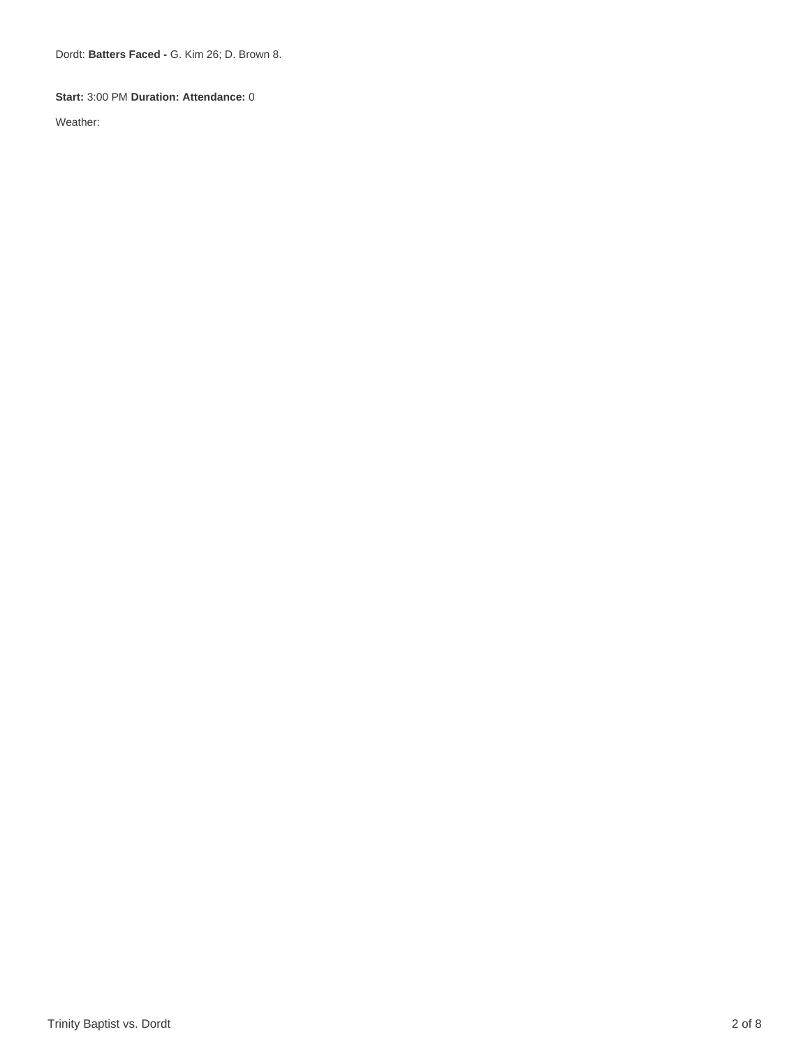Dordt: **Batters Faced -** G. Kim 26; D. Brown 8.

#### **Start:** 3:00 PM **Duration: Attendance:** 0

Weather: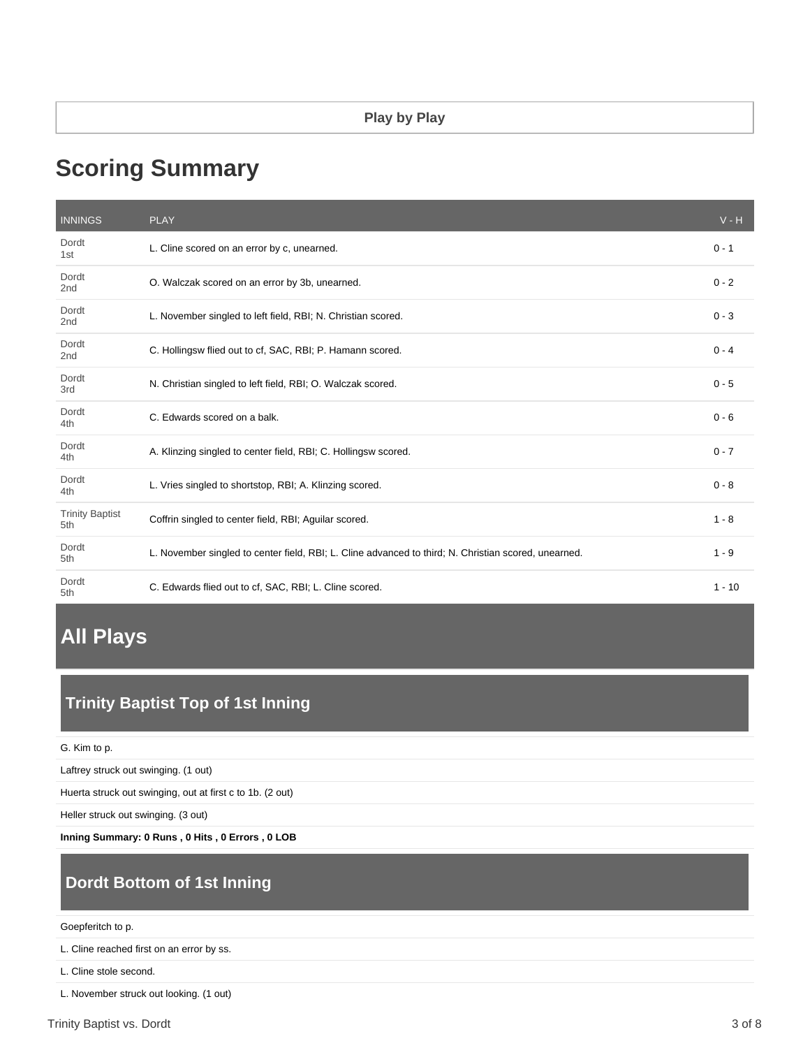# **Scoring Summary**

| <b>INNINGS</b>                | <b>PLAY</b>                                                                                          | $V - H$  |
|-------------------------------|------------------------------------------------------------------------------------------------------|----------|
| Dordt<br>1st                  | L. Cline scored on an error by c, unearned.                                                          | $0 - 1$  |
| Dordt<br>2nd                  | O. Walczak scored on an error by 3b, unearned.                                                       | $0 - 2$  |
| Dordt<br>2 <sub>nd</sub>      | L. November singled to left field, RBI; N. Christian scored.                                         | $0 - 3$  |
| Dordt<br>2 <sub>nd</sub>      | C. Hollingsw flied out to cf. SAC, RBI; P. Hamann scored.                                            | $0 - 4$  |
| Dordt<br>3rd                  | N. Christian singled to left field, RBI; O. Walczak scored.                                          | $0 - 5$  |
| Dordt<br>4th                  | C. Edwards scored on a balk.                                                                         | $0 - 6$  |
| Dordt<br>4th                  | A. Klinzing singled to center field, RBI; C. Hollingsw scored.                                       | $0 - 7$  |
| Dordt<br>4th                  | L. Vries singled to shortstop, RBI; A. Klinzing scored.                                              | $0 - 8$  |
| <b>Trinity Baptist</b><br>5th | Coffrin singled to center field, RBI; Aguilar scored.                                                | $1 - 8$  |
| Dordt<br>5th                  | L. November singled to center field, RBI; L. Cline advanced to third; N. Christian scored, unearned. | $1 - 9$  |
| Dordt<br>5th                  | C. Edwards flied out to cf, SAC, RBI; L. Cline scored.                                               | $1 - 10$ |

# **All Plays**

# **Trinity Baptist Top of 1st Inning**

G. Kim to p.

Laftrey struck out swinging. (1 out)

Huerta struck out swinging, out at first c to 1b. (2 out)

Heller struck out swinging. (3 out)

**Inning Summary: 0 Runs , 0 Hits , 0 Errors , 0 LOB**

# **Dordt Bottom of 1st Inning**

#### Goepferitch to p.

L. Cline reached first on an error by ss.

L. Cline stole second.

L. November struck out looking. (1 out)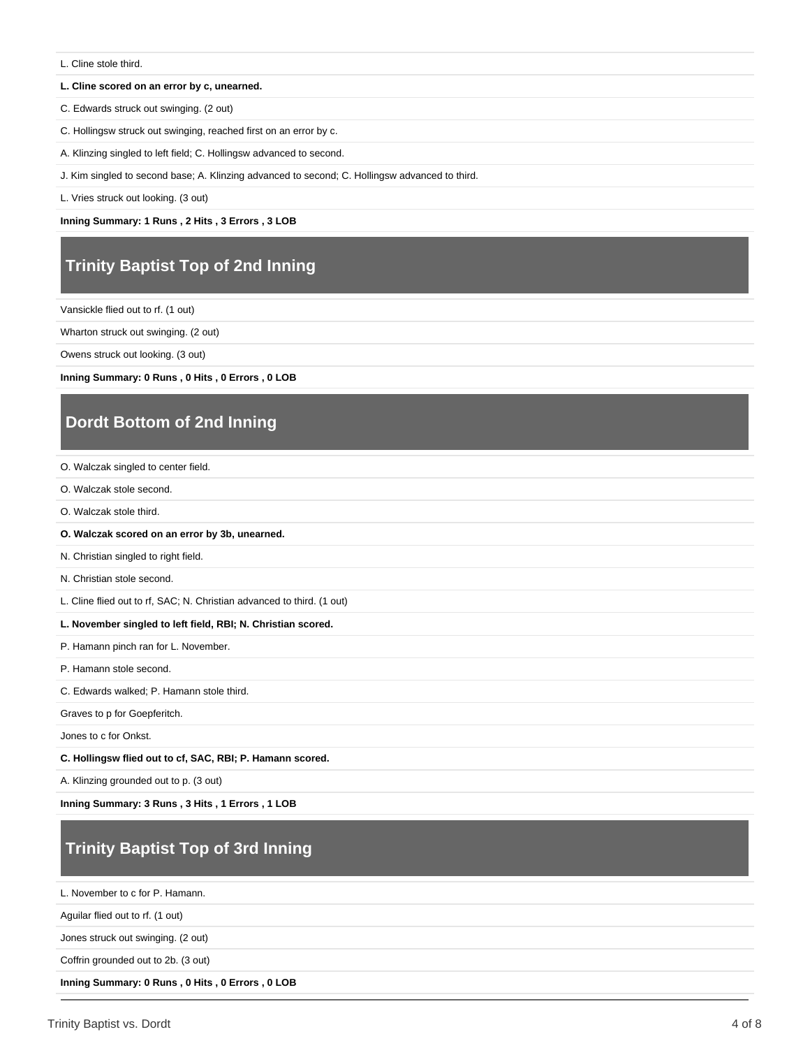L. Cline stole third.

#### **L. Cline scored on an error by c, unearned.**

C. Edwards struck out swinging. (2 out)

C. Hollingsw struck out swinging, reached first on an error by c.

A. Klinzing singled to left field; C. Hollingsw advanced to second.

J. Kim singled to second base; A. Klinzing advanced to second; C. Hollingsw advanced to third.

L. Vries struck out looking. (3 out)

**Inning Summary: 1 Runs , 2 Hits , 3 Errors , 3 LOB**

## **Trinity Baptist Top of 2nd Inning**

Vansickle flied out to rf. (1 out)

Wharton struck out swinging. (2 out)

Owens struck out looking. (3 out)

**Inning Summary: 0 Runs , 0 Hits , 0 Errors , 0 LOB**

### **Dordt Bottom of 2nd Inning**

O. Walczak singled to center field.

- O. Walczak stole second.
- O. Walczak stole third.
- **O. Walczak scored on an error by 3b, unearned.**

N. Christian singled to right field.

N. Christian stole second.

L. Cline flied out to rf, SAC; N. Christian advanced to third. (1 out)

#### **L. November singled to left field, RBI; N. Christian scored.**

P. Hamann pinch ran for L. November.

P. Hamann stole second.

C. Edwards walked; P. Hamann stole third.

Graves to p for Goepferitch.

Jones to c for Onkst.

**C. Hollingsw flied out to cf, SAC, RBI; P. Hamann scored.**

A. Klinzing grounded out to p. (3 out)

**Inning Summary: 3 Runs , 3 Hits , 1 Errors , 1 LOB**

# **Trinity Baptist Top of 3rd Inning**

L. November to c for P. Hamann.

Aguilar flied out to rf. (1 out)

Jones struck out swinging. (2 out)

Coffrin grounded out to 2b. (3 out)

**Inning Summary: 0 Runs , 0 Hits , 0 Errors , 0 LOB**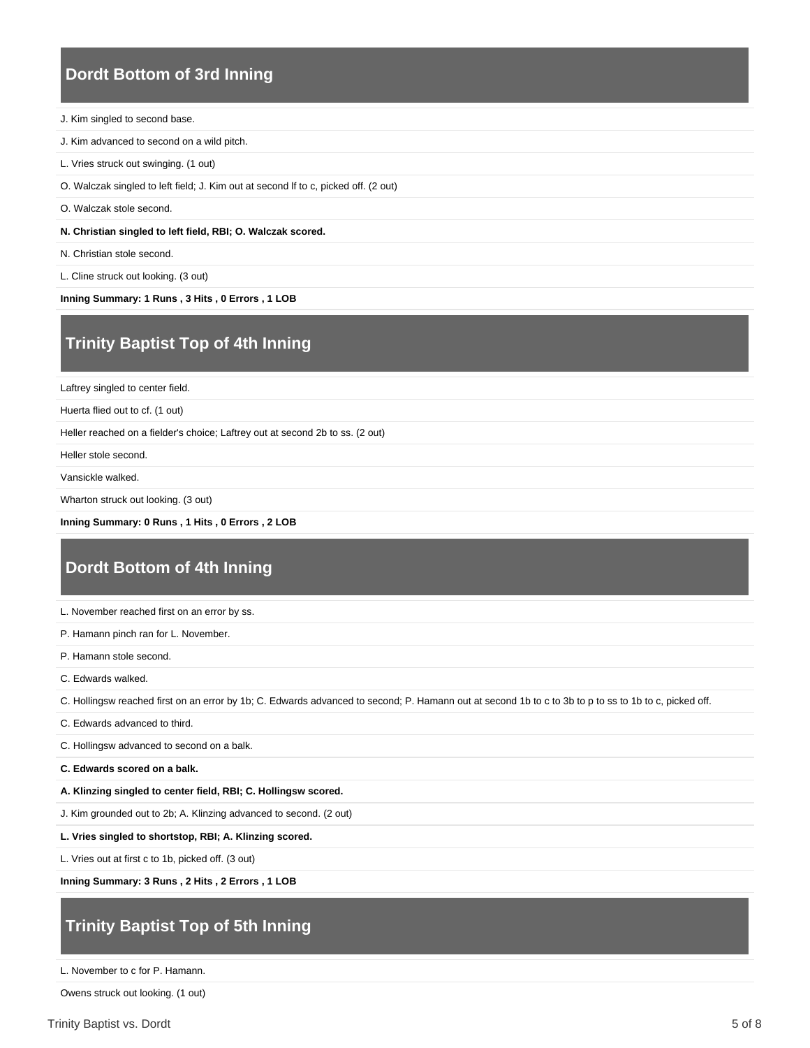#### **Dordt Bottom of 3rd Inning**

- J. Kim singled to second base.
- J. Kim advanced to second on a wild pitch.
- L. Vries struck out swinging. (1 out)
- O. Walczak singled to left field; J. Kim out at second lf to c, picked off. (2 out)
- O. Walczak stole second.

#### **N. Christian singled to left field, RBI; O. Walczak scored.**

- N. Christian stole second.
- L. Cline struck out looking. (3 out)

**Inning Summary: 1 Runs , 3 Hits , 0 Errors , 1 LOB**

### **Trinity Baptist Top of 4th Inning**

Laftrey singled to center field.

Huerta flied out to cf. (1 out)

Heller reached on a fielder's choice; Laftrey out at second 2b to ss. (2 out)

Heller stole second.

Vansickle walked.

Wharton struck out looking. (3 out)

**Inning Summary: 0 Runs , 1 Hits , 0 Errors , 2 LOB**

### **Dordt Bottom of 4th Inning**

L. November reached first on an error by ss.

P. Hamann pinch ran for L. November.

P. Hamann stole second.

C. Edwards walked.

C. Hollingsw reached first on an error by 1b; C. Edwards advanced to second; P. Hamann out at second 1b to c to 3b to p to ss to 1b to c, picked off.

C. Edwards advanced to third.

C. Hollingsw advanced to second on a balk.

**C. Edwards scored on a balk.**

#### **A. Klinzing singled to center field, RBI; C. Hollingsw scored.**

J. Kim grounded out to 2b; A. Klinzing advanced to second. (2 out)

**L. Vries singled to shortstop, RBI; A. Klinzing scored.**

L. Vries out at first c to 1b, picked off. (3 out)

**Inning Summary: 3 Runs , 2 Hits , 2 Errors , 1 LOB**

### **Trinity Baptist Top of 5th Inning**

L. November to c for P. Hamann.

Owens struck out looking. (1 out)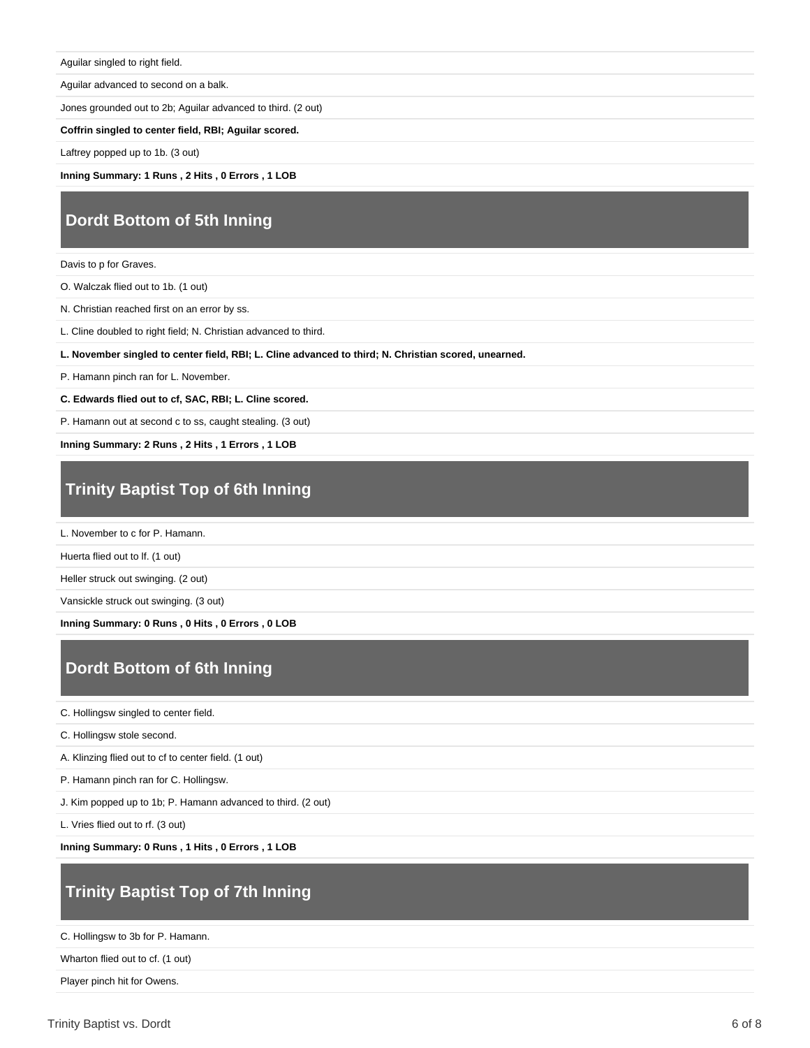Aguilar singled to right field.

Aguilar advanced to second on a balk.

Jones grounded out to 2b; Aguilar advanced to third. (2 out)

**Coffrin singled to center field, RBI; Aguilar scored.**

Laftrey popped up to 1b. (3 out)

**Inning Summary: 1 Runs , 2 Hits , 0 Errors , 1 LOB**

### **Dordt Bottom of 5th Inning**

Davis to p for Graves.

O. Walczak flied out to 1b. (1 out)

N. Christian reached first on an error by ss.

L. Cline doubled to right field; N. Christian advanced to third.

**L. November singled to center field, RBI; L. Cline advanced to third; N. Christian scored, unearned.**

P. Hamann pinch ran for L. November.

**C. Edwards flied out to cf, SAC, RBI; L. Cline scored.**

P. Hamann out at second c to ss, caught stealing. (3 out)

**Inning Summary: 2 Runs , 2 Hits , 1 Errors , 1 LOB**

## **Trinity Baptist Top of 6th Inning**

L. November to c for P. Hamann.

Huerta flied out to lf. (1 out)

Heller struck out swinging. (2 out)

Vansickle struck out swinging. (3 out)

**Inning Summary: 0 Runs , 0 Hits , 0 Errors , 0 LOB**

### **Dordt Bottom of 6th Inning**

C. Hollingsw singled to center field.

C. Hollingsw stole second.

A. Klinzing flied out to cf to center field. (1 out)

P. Hamann pinch ran for C. Hollingsw.

J. Kim popped up to 1b; P. Hamann advanced to third. (2 out)

L. Vries flied out to rf. (3 out)

**Inning Summary: 0 Runs , 1 Hits , 0 Errors , 1 LOB**

### **Trinity Baptist Top of 7th Inning**

C. Hollingsw to 3b for P. Hamann.

Wharton flied out to cf. (1 out)

Player pinch hit for Owens.